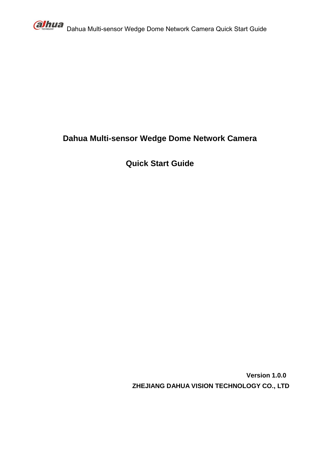

# **Dahua Multi-sensor Wedge Dome Network Camera**

**Quick Start Guide**

**Version 1.0.0 ZHEJIANG DAHUA VISION TECHNOLOGY CO., LTD**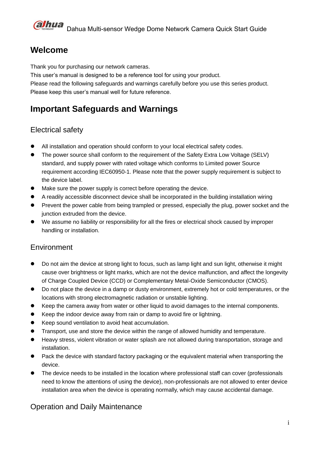# **Welcome**

Thank you for purchasing our network cameras.

This user's manual is designed to be a reference tool for using your product.

Please read the following safeguards and warnings carefully before you use this series product. Please keep this user's manual well for future reference.

# **Important Safeguards and Warnings**

# Electrical safety

- All installation and operation should conform to your local electrical safety codes.
- The power source shall conform to the requirement of the Safety Extra Low Voltage (SELV) standard, and supply power with rated voltage which conforms to Limited power Source requirement according IEC60950-1. Please note that the power supply requirement is subject to the device label.
- $\bullet$  Make sure the power supply is correct before operating the device.
- A readily accessible disconnect device shall be incorporated in the building installation wiring
- Prevent the power cable from being trampled or pressed, especially the plug, power socket and the junction extruded from the device.
- We assume no liability or responsibility for all the fires or electrical shock caused by improper handling or installation.

# **Environment**

- Do not aim the device at strong light to focus, such as lamp light and sun light, otherwise it might cause over brightness or light marks, which are not the device malfunction, and affect the longevity of Charge Coupled Device (CCD) or Complementary Metal-Oxide Semiconductor (CMOS).
- Do not place the device in a damp or dusty environment, extremely hot or cold temperatures, or the locations with strong electromagnetic radiation or unstable lighting.
- Keep the camera away from water or other liquid to avoid damages to the internal components.
- Keep the indoor device away from rain or damp to avoid fire or lightning.
- Keep sound ventilation to avoid heat accumulation.
- Transport, use and store the device within the range of allowed humidity and temperature.
- Heavy stress, violent vibration or water splash are not allowed during transportation, storage and installation.
- Pack the device with standard factory packaging or the equivalent material when transporting the device.
- The device needs to be installed in the location where professional staff can cover (professionals need to know the attentions of using the device), non-professionals are not allowed to enter device installation area when the device is operating normally, which may cause accidental damage.

# Operation and Daily Maintenance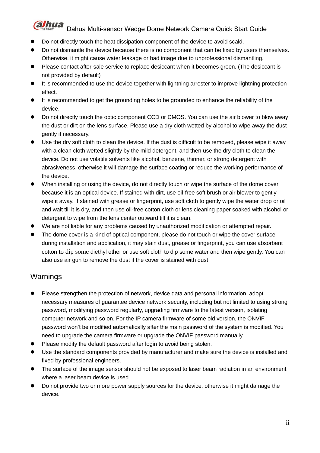- $\bullet$  Do not directly touch the heat dissipation component of the device to avoid scald.
- Do not dismantle the device because there is no component that can be fixed by users themselves. Otherwise, it might cause water leakage or bad image due to unprofessional dismantling.
- Please contact after-sale service to replace desiccant when it becomes green. (The desiccant is not provided by default)
- $\bullet$  It is recommended to use the device together with lightning arrester to improve lightning protection effect.
- It is recommended to get the grounding holes to be grounded to enhance the reliability of the device.
- Do not directly touch the optic component CCD or CMOS. You can use the air blower to blow away the dust or dirt on the lens surface. Please use a dry cloth wetted by alcohol to wipe away the dust gently if necessary.
- Use the dry soft cloth to clean the device. If the dust is difficult to be removed, please wipe it away with a clean cloth wetted slightly by the mild detergent, and then use the dry cloth to clean the device. Do not use volatile solvents like alcohol, benzene, thinner, or strong detergent with abrasiveness, otherwise it will damage the surface coating or reduce the working performance of the device.
- When installing or using the device, do not directly touch or wipe the surface of the dome cover because it is an optical device. If stained with dirt, use oil-free soft brush or air blower to gently wipe it away. If stained with grease or fingerprint, use soft cloth to gently wipe the water drop or oil and wait till it is dry, and then use oil-free cotton cloth or lens cleaning paper soaked with alcohol or detergent to wipe from the lens center outward till it is clean.
- We are not liable for any problems caused by unauthorized modification or attempted repair.
- The dome cover is a kind of optical component, please do not touch or wipe the cover surface during installation and application, it may stain dust, grease or fingerprint, you can use absorbent cotton to dip some [diethyl](file:///C:/Users/24766/AppData/Local/youdao/dict/Application/7.2.0.0703/resultui/dict/) [ether](file:///C:/Users/24766/AppData/Local/youdao/dict/Application/7.2.0.0703/resultui/dict/) or use soft cloth to dip some water and then wipe gently. You can also use air gun to remove the dust if the cover is stained with dust.

# Warnings

- Please strengthen the protection of network, device data and personal information, adopt necessary measures of guarantee device network security, including but not limited to using strong password, modifying password regularly, upgrading firmware to the latest version, isolating computer network and so on. For the IP camera firmware of some old version, the ONVIF password won't be modified automatically after the main password of the system is modified. You need to upgrade the camera firmware or upgrade the ONVIF password manually.
- Please modify the default password after login to avoid being stolen.
- Use the standard components provided by manufacturer and make sure the device is installed and fixed by professional engineers.
- The surface of the image sensor should not be exposed to laser beam radiation in an environment where a laser beam device is used.
- Do not provide two or more power supply sources for the device; otherwise it might damage the device.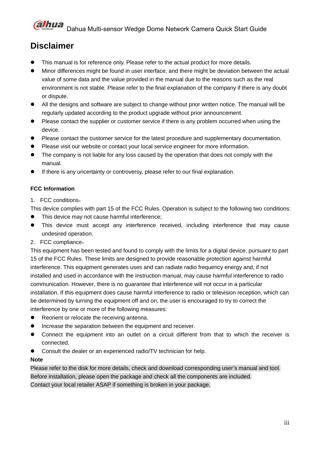

# **Disclaimer**

- This manual is for reference only. Please refer to the actual product for more details.
- Minor differences might be found in user interface, and there might be deviation between the actual value of some data and the value provided in the manual due to the reasons such as the real environment is not stable. Please refer to the final explanation of the company if there is any doubt or dispute.
- All the designs and software are subject to change without prior written notice. The manual will be regularly updated according to the product upgrade without prior announcement.
- Please contact the supplier or customer service if there is any problem occurred when using the device.
- Please contact the customer service for the latest procedure and supplementary documentation.
- Please visit our website or contact your local service engineer for more information.
- The company is not liable for any loss caused by the operation that does not comply with the manual.
- If there is any uncertainty or controversy, please refer to our final explanation.

## **FCC Information**

1. FCC conditions:

This device complies with part 15 of the FCC Rules. Operation is subject to the following two conditions:

- This device may not cause harmful interference;
- This device must accept any interference received, including interference that may cause undesired operation.
- 2. FCC compliance:

This equipment has been tested and found to comply with the limits for a digital device, pursuant to part 15 of the FCC Rules. These limits are designed to provide reasonable protection against harmful interference. This equipment generates uses and can radiate radio frequency energy and, if not installed and used in accordance with the instruction manual, may cause harmful interference to radio communication. However, there is no guarantee that interference will not occur in a particular installation. If this equipment does cause harmful interference to radio or television reception, which can be determined by turning the equipment off and on, the user is encouraged to try to correct the interference by one or more of the following measures:

- Reorient or relocate the receiving antenna.
- Increase the separation between the equipment and receiver.
- Connect the equipment into an outlet on a circuit different from that to which the receiver is connected.
- Consult the dealer or an experienced radio/TV technician for help.

#### **Note**

Please refer to the disk for more details, check and download corresponding user's manual and tool. Before installation, please open the package and check all the components are included. Contact your local retailer ASAP if something is broken in your package.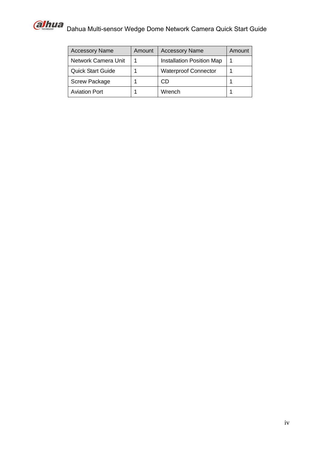

| <b>Accessory Name</b>    | Amount | <b>Accessory Name</b>       | Amount |
|--------------------------|--------|-----------------------------|--------|
| Network Camera Unit      |        | Installation Position Map   |        |
| <b>Quick Start Guide</b> |        | <b>Waterproof Connector</b> |        |
| <b>Screw Package</b>     |        | CD                          |        |
| <b>Aviation Port</b>     |        | Wrench                      |        |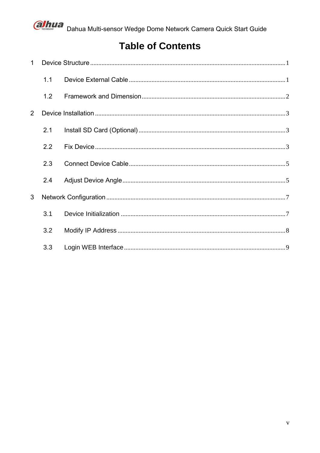

# **Table of Contents**

| $\mathbf 1$ |     |  |
|-------------|-----|--|
|             | 1.1 |  |
|             | 1.2 |  |
| 2           |     |  |
|             | 2.1 |  |
|             | 2.2 |  |
|             | 2.3 |  |
|             | 2.4 |  |
| 3           |     |  |
|             | 3.1 |  |
|             | 3.2 |  |
|             | 3.3 |  |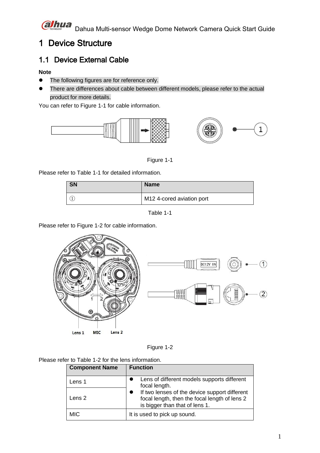

# <span id="page-6-0"></span>1 Device Structure

# <span id="page-6-1"></span>1.1 Device External Cable

## **Note**

- The following figures are for reference only.
- There are differences about cable between different models, please refer to the actual product for more details.

You can refer to [Figure 1-1](#page-6-2) for cable information.



Figure 1-1

<span id="page-6-2"></span>Please refer to [Table 1-1](#page-6-3) for detailed information.

| <b>SN</b> | <b>Name</b>               |
|-----------|---------------------------|
|           | M12 4-cored aviation port |

Table 1-1

<span id="page-6-3"></span>Please refer to [Figure 1-2](#page-6-4) for cable information.



Figure 1-2

<span id="page-6-4"></span>Please refer to Table 1-2 for the lens information.

| <b>Component Name</b> | <b>Function</b>                                                                                                                  |
|-----------------------|----------------------------------------------------------------------------------------------------------------------------------|
| Lens 1                | Lens of different models supports different<br>focal length.                                                                     |
| Lens 2                | If two lenses of the device support different<br>focal length, then the focal length of lens 2<br>is bigger than that of lens 1. |
| <b>MIC</b>            | It is used to pick up sound.                                                                                                     |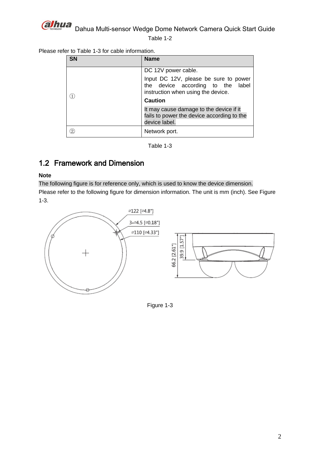

Table 1-2

|  |  |  | Please refer to Table 1-3 for cable information. |  |
|--|--|--|--------------------------------------------------|--|
|  |  |  |                                                  |  |

| <b>SN</b> | <b>Name</b>                                                                                                                        |
|-----------|------------------------------------------------------------------------------------------------------------------------------------|
|           | DC 12V power cable.                                                                                                                |
|           | Input DC 12V, please be sure to power<br>the device according to the label<br>instruction when using the device.<br><b>Caution</b> |
|           | It may cause damage to the device if it                                                                                            |
|           | fails to power the device according to the<br>device label.                                                                        |
| 2         | Network port.                                                                                                                      |

Table 1-3

# <span id="page-7-1"></span><span id="page-7-0"></span>1.2 Framework and Dimension

#### **Note**

The following figure is for reference only, which is used to know the device dimension. Please refer to the following figure for dimension information. The unit is mm (inch). See [Figure](#page-7-2)  [1-3.](#page-7-2)

<span id="page-7-2"></span>

Figure 1-3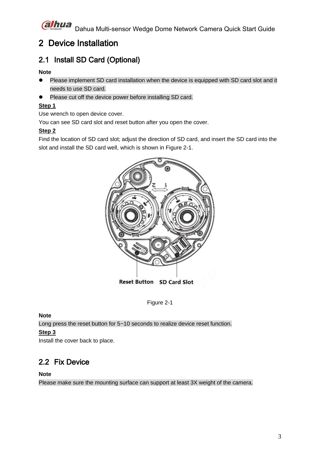# <span id="page-8-0"></span>2 Device Installation

# <span id="page-8-1"></span>2.1 Install SD Card (Optional)

## **Note**

- Please implement SD card installation when the device is equipped with SD card slot and it needs to use SD card.
- Please cut off the device power before installing SD card.

# **Step 1**

Use wrench to open device cover.

You can see SD card slot and reset button after you open the cover.

## **Step 2**

Find the location of SD card slot; adjust the direction of SD card, and insert the SD card into the slot and install the SD card well, which is shown in [Figure 2-1.](#page-8-3)



Reset Button SD Card Slot

Figure 2-1

## <span id="page-8-3"></span>**Note**

Long press the reset button for 5~10 seconds to realize device reset function. **Step 3**

Install the cover back to place.

# <span id="page-8-2"></span>2.2 Fix Device

## **Note**

Please make sure the mounting surface can support at least 3X weight of the camera.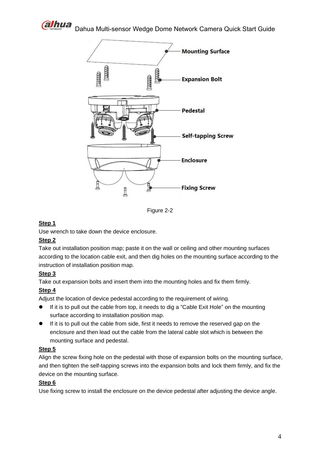



Figure 2-2

#### **Step 1**

Use wrench to take down the device enclosure.

## **Step 2**

Take out installation position map; paste it on the wall or ceiling and other mounting surfaces according to the location cable exit, and then dig holes on the mounting surface according to the instruction of installation position map.

## **Step 3**

Take out expansion bolts and insert them into the mounting holes and fix them firmly.

## **Step 4**

Adjust the location of device pedestal according to the requirement of wiring.

- If it is to pull out the cable from top, it needs to dig a "Cable Exit Hole" on the mounting surface according to installation position map.
- If it is to pull out the cable from side, first it needs to remove the reserved gap on the enclosure and then lead out the cable from the lateral cable slot which is between the mounting surface and pedestal.

#### **Step 5**

Align the screw fixing hole on the pedestal with those of expansion bolts on the mounting surface, and then tighten the self-tapping screws into the expansion bolts and lock them firmly, and fix the device on the mounting surface.

#### **Step 6**

Use fixing screw to install the enclosure on the device pedestal after adjusting the device angle.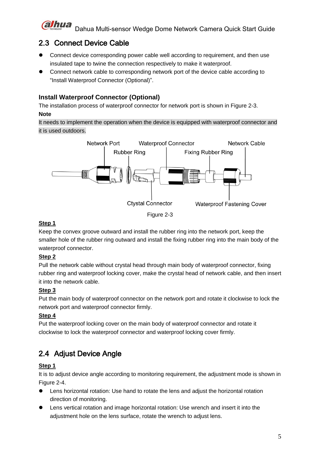# <span id="page-10-0"></span>2.3 Connect Device Cable

- Connect device corresponding power cable well according to requirement, and then use insulated tape to twine the connection respectively to make it waterproof.
- Connect network cable to corresponding network port of the device cable according to "Install Waterproof Connector (Optional)".

# **Install Waterproof Connector (Optional)**

The installation process of waterproof connector for network port is shown in [Figure 2-3.](#page-10-2) **Note**

It needs to implement the operation when the device is equipped with waterproof connector and it is used outdoors.



## <span id="page-10-2"></span>**Step 1**

Keep the convex groove outward and install the rubber ring into the network port, keep the smaller hole of the rubber ring outward and install the fixing rubber ring into the main body of the waterproof connector.

# **Step 2**

Pull the network cable without crystal head through main body of waterproof connector, fixing rubber ring and waterproof locking cover, make the crystal head of network cable, and then insert it into the network cable.

# **Step 3**

Put the main body of waterproof connector on the network port and rotate it clockwise to lock the network port and waterproof connector firmly.

# **Step 4**

Put the waterproof locking cover on the main body of waterproof connector and rotate it clockwise to lock the waterproof connector and waterproof locking cover firmly.

# <span id="page-10-1"></span>2.4 Adjust Device Angle

# **Step 1**

It is to adjust device angle according to monitoring requirement, the adjustment mode is shown in [Figure 2-4.](#page-11-0)

- Lens horizontal rotation: Use hand to rotate the lens and adjust the horizontal rotation direction of monitoring.
- Lens vertical rotation and image horizontal rotation: Use wrench and insert it into the adjustment hole on the lens surface, rotate the wrench to adjust lens.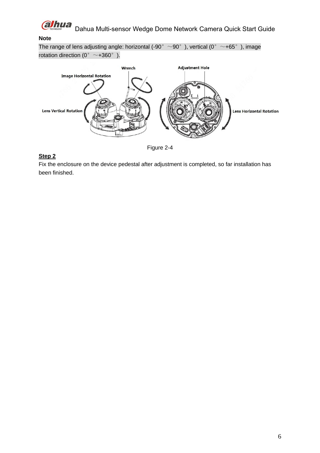

#### **Note**

The range of lens adjusting angle: horizontal (-90°  $\sim$ 90°), vertical (0°  $\sim$ +65°), image rotation direction (0°  $\sim$ +360°).





## <span id="page-11-0"></span>**Step 2**

Fix the enclosure on the device pedestal after adjustment is completed, so far installation has been finished.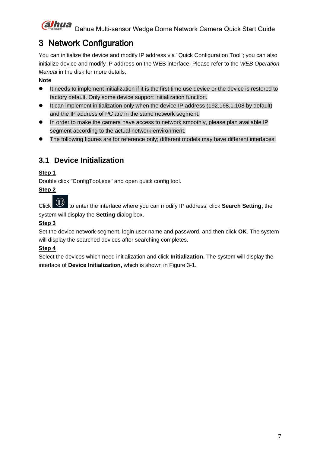# <span id="page-12-0"></span>3 Network Configuration

You can initialize the device and modify IP address via "Quick Configuration Tool"; you can also initialize device and modify IP address on the WEB interface. Please refer to the *WEB Operation Manual* in the disk for more details.

# **Note**

- It needs to implement initialization if it is the first time use device or the device is restored to factory default. Only some device support initialization function.
- It can implement initialization only when the device IP address (192.168.1.108 by default) and the IP address of PC are in the same network segment.
- In order to make the camera have access to network smoothly, please plan available IP segment according to the actual network environment.
- The following figures are for reference only; different models may have different interfaces.

# <span id="page-12-1"></span>**3.1 Device Initialization**

# **Step 1**

Double click "ConfigTool.exe" and open quick config tool.

# **Step 2**

Click to enter the interface where you can modify IP address, click **Search Setting,** the system will display the **Setting** dialog box.

# **Step 3**

Set the device network segment, login user name and password, and then click **OK**. The system will display the searched devices after searching completes.

# **Step 4**

Select the devices which need initialization and click **Initialization.** The system will display the interface of **Device Initialization,** which is shown in [Figure 3-1.](#page-13-1)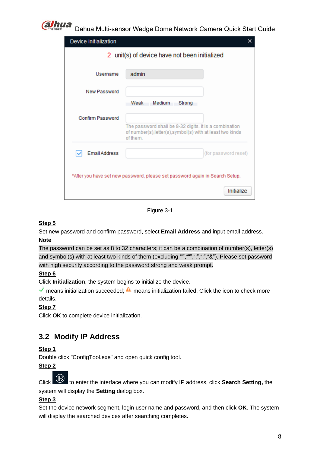

| Device initialization                         | ×                                                                                                                                |  |  |  |  |
|-----------------------------------------------|----------------------------------------------------------------------------------------------------------------------------------|--|--|--|--|
| 2 unit(s) of device have not been initialized |                                                                                                                                  |  |  |  |  |
|                                               |                                                                                                                                  |  |  |  |  |
| Username                                      | admin                                                                                                                            |  |  |  |  |
| New Password                                  |                                                                                                                                  |  |  |  |  |
|                                               | Medium<br>Weak<br>Strong                                                                                                         |  |  |  |  |
| <b>Confirm Password</b>                       |                                                                                                                                  |  |  |  |  |
|                                               | The password shall be 8-32 digits. It is a combination<br>of number(s), letter(s), symbol(s) with at least two kinds<br>of them. |  |  |  |  |
| <b>Email Address</b>                          | (for password reset)                                                                                                             |  |  |  |  |
|                                               |                                                                                                                                  |  |  |  |  |
|                                               | *After you have set new password, please set password again in Search Setup.                                                     |  |  |  |  |
|                                               |                                                                                                                                  |  |  |  |  |
|                                               | Initialize                                                                                                                       |  |  |  |  |

Figure 3-1

## <span id="page-13-1"></span>**Step 5**

Set new password and confirm password, select **Email Address** and input email address.

## **Note**

The password can be set as 8 to 32 characters; it can be a combination of number(s), letter(s) and symbol(s) with at least two kinds of them (excluding "","",",",",",","&"). Please set password with high security according to the password strong and weak prompt.

## **Step 6**

Click **Initialization**, the system begins to initialize the device.

means initialization succeeded;  $\triangle$  means initialization failed. Click the icon to check more details.

# **Step 7**

Click **OK** to complete device initialization.

# <span id="page-13-0"></span>**3.2 Modify IP Address**

## **Step 1**

Double click "ConfigTool.exe" and open quick config tool.

# **Step 2**

Click to enter the interface where you can modify IP address, click **Search Setting,** the system will display the **Setting** dialog box.

# **Step 3**

Set the device network segment, login user name and password, and then click **OK**. The system will display the searched devices after searching completes.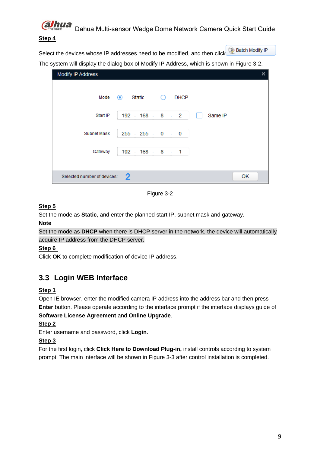

#### **Step 4**

Select the devices whose IP addresses need to be modified, and then click **D** Batch Modify IP The system will display the dialog box of Modify IP Address, which is shown in [Figure 3-2.](#page-14-1)

| Modify IP Address           |                                         | × |
|-----------------------------|-----------------------------------------|---|
| Mode                        | $\odot$ Static<br><b>DHCP</b><br>$\cup$ |   |
| Start IP                    | $192$ $. 168$ $. 8$ $. 2$<br>Same IP    |   |
| Subnet Mask                 | $255$ $.255$ $.0$ $.0$                  |   |
| Gateway                     | 192 . 168 . 8 . 1                       |   |
|                             |                                         |   |
| Selected number of devices: | 2<br>OK                                 |   |

Figure 3-2

## <span id="page-14-1"></span>**Step 5**

Set the mode as **Static**, and enter the planned start IP, subnet mask and gateway.

#### **Note**

Set the mode as **DHCP** when there is DHCP server in the network, the device will automatically acquire IP address from the DHCP server.

## **Step 6**

Click **OK** to complete modification of device IP address.

# <span id="page-14-0"></span>**3.3 Login WEB Interface**

## **Step 1**

Open IE browser, enter the modified camera IP address into the address bar and then press **Enter** button. Please operate according to the interface prompt if the interface displays guide of **Software License Agreement** and **Online Upgrade**.

# **Step 2**

Enter username and password, click **Login**.

# **Step 3**

For the first login, click **Click Here to Download Plug-in,** install controls according to system prompt. The main interface will be shown in [Figure 3-3](#page-15-0) after control installation is completed.